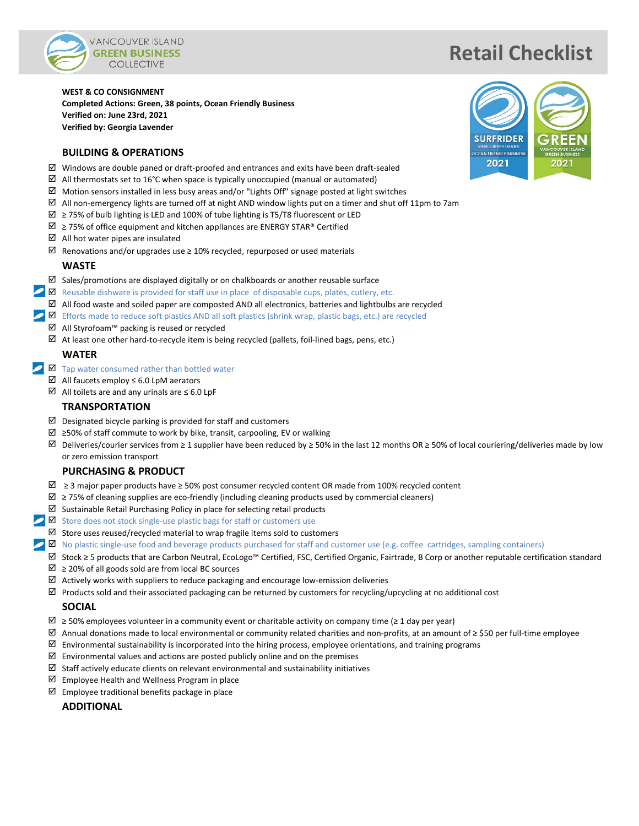

# **Retail Checklist**

**WEST & CO CONSIGNMENT Completed Actions: Green, 38 points, Ocean Friendly Business Verified on: June 23rd, 2021 Verified by: Georgia Lavender**

#### **BUILDING & OPERATIONS**

- $\boxtimes$  Windows are double paned or draft-proofed and entrances and exits have been draft-sealed
- $\boxtimes$  All thermostats set to 16°C when space is typically unoccupied (manual or automated)
- $\boxtimes$  Motion sensors installed in less busy areas and/or "Lights Off" signage posted at light switches
- $\boxtimes$  All non-emergency lights are turned off at night AND window lights put on a timer and shut off 11pm to 7am
- $\boxtimes$  ≥ 75% of bulb lighting is LED and 100% of tube lighting is T5/T8 fluorescent or LED
- $\overline{2}$  ≥ 75% of office equipment and kitchen appliances are ENERGY STAR® Certified
- $\boxtimes$  All hot water pipes are insulated
- $✓$  Renovations and/or upgrades use ≥ 10% recycled, repurposed or used materials

#### **WASTE**

- $\boxtimes$  Sales/promotions are displayed digitally or on chalkboards or another reusable surface
- $\blacktriangleright$   $\blacksquare$  Reusable dishware is provided for staff use in place of disposable cups, plates, cutlery, etc.
	- $\boxtimes$  All food waste and soiled paper are composted AND all electronics, batteries and lightbulbs are recycled
- Efforts made to reduce soft plastics AND all soft plastics (shrink wrap, plastic bags, etc.) are recycled
	- All Styrofoam™ packing is reused or recycled
	- $\boxtimes$  At least one other hard-to-recycle item is being recycled (pallets, foil-lined bags, pens, etc.)

## **WATER**

- $\Box$  Tap water consumed rather than bottled water
	- All faucets employ ≤ 6.0 LpM aerators
	- All toilets are and any urinals are ≤ 6.0 LpF

#### **TRANSPORTATION**

- $\boxtimes$  Designated bicycle parking is provided for staff and customers
- ≥50% of staff commute to work by bike, transit, carpooling, EV or walking
- $\boxtimes$  Deliveries/courier services from ≥ 1 supplier have been reduced by ≥ 50% in the last 12 months OR ≥ 50% of local couriering/deliveries made by low or zero emission transport

## **PURCHASING & PRODUCT**

- ≥ 3 major paper products have ≥ 50% post consumer recycled content OR made from 100% recycled content
- ≥ 75% of cleaning supplies are eco-friendly (including cleaning products used by commercial cleaners)
- $\boxtimes$  Sustainable Retail Purchasing Policy in place for selecting retail products
- $\triangleright$   $\blacksquare$  Store does not stock single-use plastic bags for staff or customers use
	- $\boxtimes$  Store uses reused/recycled material to wrap fragile items sold to customers
- **No** plastic single-use food and beverage products purchased for staff and customer use (e.g. coffee cartridges, sampling containers)
	- Stock ≥ 5 products that are Carbon Neutral, EcoLogo™ Certified, FSC, Certified Organic, Fairtrade, B Corp or another reputable certification standard
	- ≥ 20% of all goods sold are from local BC sources
	- $\boxtimes$  Actively works with suppliers to reduce packaging and encourage low-emission deliveries
	- $\boxtimes$  Products sold and their associated packaging can be returned by customers for recycling/upcycling at no additional cost

## **SOCIAL**

- $\boxtimes$  ≥ 50% employees volunteer in a community event or charitable activity on company time (≥ 1 day per year)
- Annual donations made to local environmental or community related charities and non-profits, at an amount of ≥ \$50 per full-time employee
- $\boxtimes$  Environmental sustainability is incorporated into the hiring process, employee orientations, and training programs
- $\boxtimes$  Environmental values and actions are posted publicly online and on the premises
- $\boxtimes$  Staff actively educate clients on relevant environmental and sustainability initiatives
- $\boxtimes$  Employee Health and Wellness Program in place
- $\boxtimes$  Employee traditional benefits package in place

**ADDITIONAL**